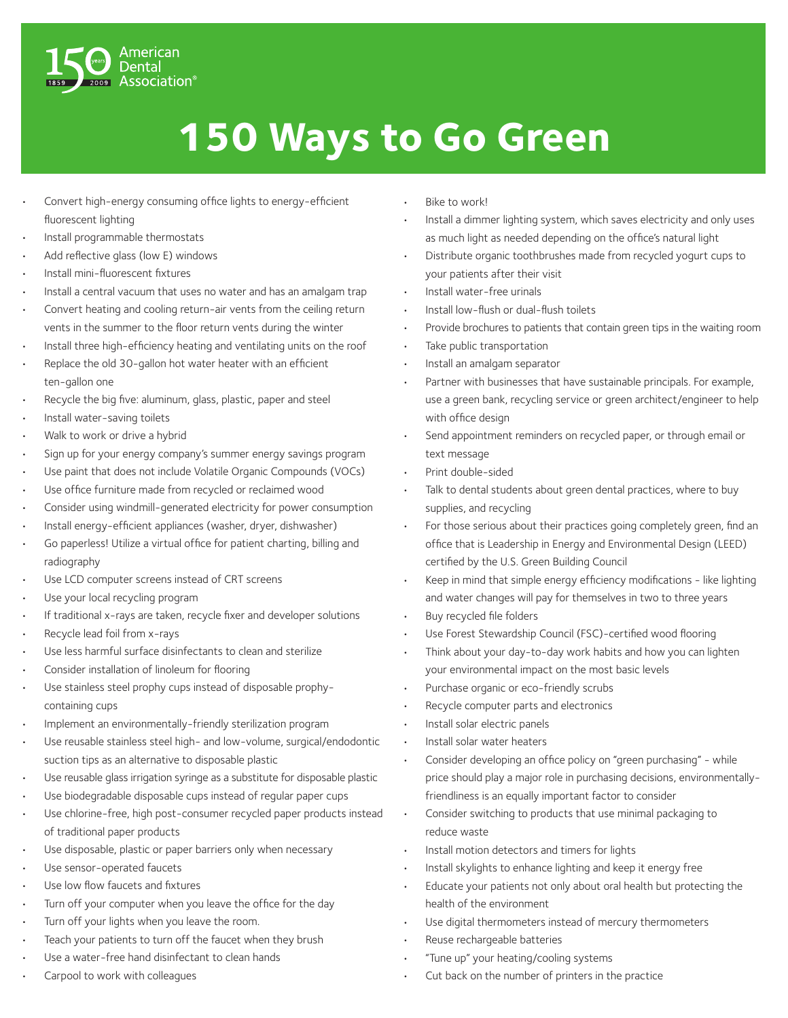

## **150 Ways to Go Green**

- Convert high-energy consuming office lights to energy-efficient fluorescent lighting
- Install programmable thermostats
- Add reflective glass (low E) windows
- Install mini-fluorescent fixtures
- Install a central vacuum that uses no water and has an amalgam trap
- Convert heating and cooling return-air vents from the ceiling return vents in the summer to the floor return vents during the winter
- Install three high-efficiency heating and ventilating units on the roof
- Replace the old 30-gallon hot water heater with an efficient ten-gallon one
- Recycle the big five: aluminum, glass, plastic, paper and steel
- Install water-saving toilets
- Walk to work or drive a hybrid
- Sign up for your energy company's summer energy savings program
- Use paint that does not include Volatile Organic Compounds (VOCs)
- Use office furniture made from recycled or reclaimed wood
- Consider using windmill-generated electricity for power consumption
- Install energy-efficient appliances (washer, dryer, dishwasher)
- Go paperless! Utilize a virtual office for patient charting, billing and radiography
- Use LCD computer screens instead of CRT screens
- Use your local recycling program
- If traditional x-rays are taken, recycle fixer and developer solutions
- Recycle lead foil from x-rays
- Use less harmful surface disinfectants to clean and sterilize
- Consider installation of linoleum for flooring
- Use stainless steel prophy cups instead of disposable prophycontaining cups
- Implement an environmentally-friendly sterilization program
- Use reusable stainless steel high- and low-volume, surgical/endodontic suction tips as an alternative to disposable plastic
- Use reusable glass irrigation syringe as a substitute for disposable plastic
- Use biodegradable disposable cups instead of regular paper cups
- Use chlorine-free, high post-consumer recycled paper products instead of traditional paper products
- Use disposable, plastic or paper barriers only when necessary
- Use sensor-operated faucets
- Use low flow faucets and fixtures
- Turn off your computer when you leave the office for the day
- Turn off your lights when you leave the room.
- Teach your patients to turn off the faucet when they brush
- Use a water-free hand disinfectant to clean hands
- Carpool to work with colleagues
- Bike to work!
- Install a dimmer lighting system, which saves electricity and only uses as much light as needed depending on the office's natural light
- Distribute organic toothbrushes made from recycled yogurt cups to your patients after their visit
- Install water-free urinals
- Install low-flush or dual-flush toilets
- Provide brochures to patients that contain green tips in the waiting room
- Take public transportation
- Install an amalgam separator
- Partner with businesses that have sustainable principals. For example, use a green bank, recycling service or green architect/engineer to help with office design
- Send appointment reminders on recycled paper, or through email or text message
- Print double-sided
- Talk to dental students about green dental practices, where to buy supplies, and recycling
- For those serious about their practices going completely green, find an office that is Leadership in Energy and Environmental Design (LEED) certified by the U.S. Green Building Council
- Keep in mind that simple energy efficiency modifications like lighting and water changes will pay for themselves in two to three years
- Buy recycled file folders
- Use Forest Stewardship Council (FSC)-certified wood flooring
- Think about your day-to-day work habits and how you can lighten your environmental impact on the most basic levels
- Purchase organic or eco-friendly scrubs
- Recycle computer parts and electronics
- Install solar electric panels
- Install solar water heaters
- Consider developing an office policy on "green purchasing" while price should play a major role in purchasing decisions, environmentallyfriendliness is an equally important factor to consider
- Consider switching to products that use minimal packaging to reduce waste
- Install motion detectors and timers for lights
- Install skylights to enhance lighting and keep it energy free
- Educate your patients not only about oral health but protecting the health of the environment
- Use digital thermometers instead of mercury thermometers
- Reuse rechargeable batteries
- "Tune up" your heating/cooling systems
- Cut back on the number of printers in the practice